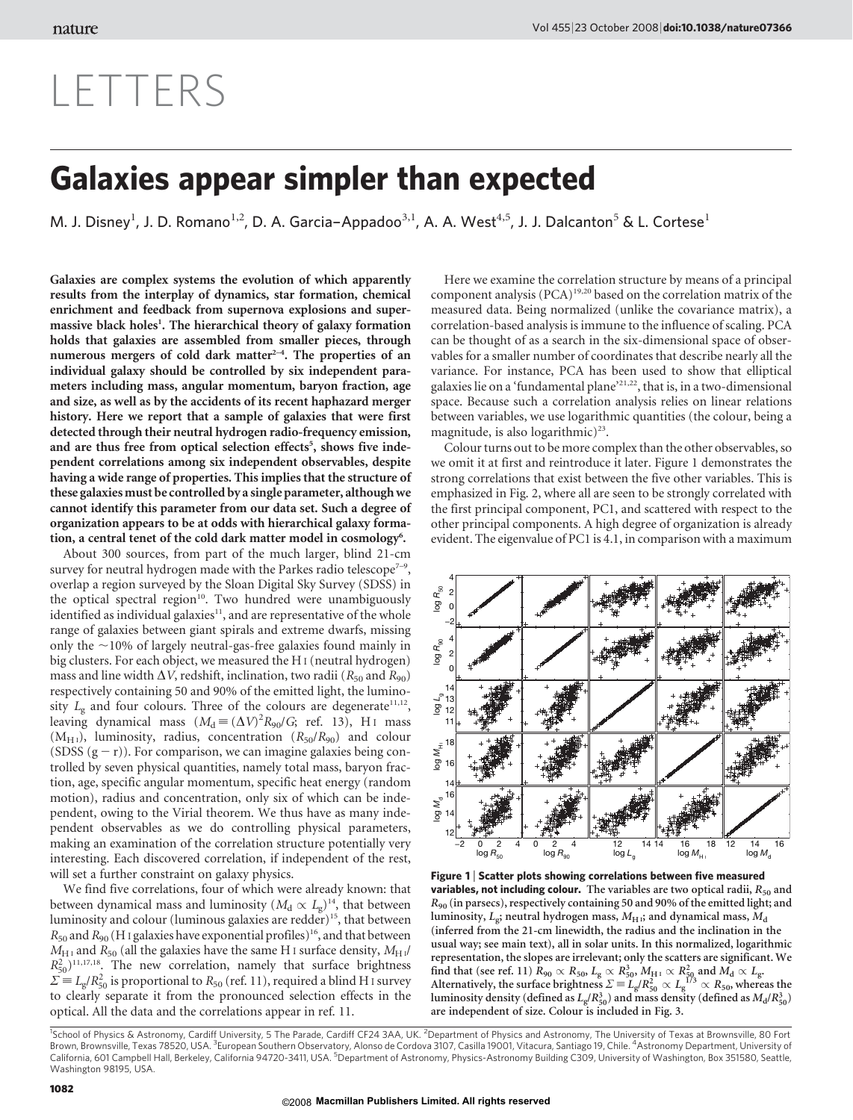## LETTERS

## Galaxies appear simpler than expected

M. J. Disney<sup>1</sup>, J. D. Romano<sup>1,2</sup>, D. A. Garcia–Appadoo<sup>3,1</sup>, A. A. West<sup>4,5</sup>, J. J. Dalcanton<sup>5</sup> & L. Cortese<sup>1</sup>

Galaxies are complex systems the evolution of which apparently results from the interplay of dynamics, star formation, chemical enrichment and feedback from supernova explosions and supermassive black holes<sup>1</sup>. The hierarchical theory of galaxy formation holds that galaxies are assembled from smaller pieces, through numerous mergers of cold dark matter $2-4$ . The properties of an individual galaxy should be controlled by six independent parameters including mass, angular momentum, baryon fraction, age and size, as well as by the accidents of its recent haphazard merger history. Here we report that a sample of galaxies that were first detected through their neutral hydrogen radio-frequency emission, and are thus free from optical selection effects<sup>5</sup>, shows five independent correlations among six independent observables, despite having a wide range of properties. This implies that the structure of these galaxies must be controlled by a single parameter, although we cannot identify this parameter from our data set. Such a degree of organization appears to be at odds with hierarchical galaxy formation, a central tenet of the cold dark matter model in cosmology<sup>6</sup>.

About 300 sources, from part of the much larger, blind 21-cm survey for neutral hydrogen made with the Parkes radio telescope<sup> $7-9$ </sup>, overlap a region surveyed by the Sloan Digital Sky Survey (SDSS) in the optical spectral region<sup>10</sup>. Two hundred were unambiguously identified as individual galaxies $11$ , and are representative of the whole range of galaxies between giant spirals and extreme dwarfs, missing only the  $\sim$ 10% of largely neutral-gas-free galaxies found mainly in big clusters. For each object, we measured the H I (neutral hydrogen) mass and line width  $\Delta V$ , redshift, inclination, two radii ( $R_{50}$  and  $R_{90}$ ) respectively containing 50 and 90% of the emitted light, the luminosity  $L_g$  and four colours. Three of the colours are degenerate<sup>11,12</sup>, leaving dynamical mass  $(M_d \equiv (\Delta V)^2 R_{90}/G$ ; ref. 13), H<sub>I</sub> mass  $(M<sub>H1</sub>)$ , luminosity, radius, concentration  $(R<sub>50</sub>/R<sub>90</sub>)$  and colour (SDSS  $(g - r)$ ). For comparison, we can imagine galaxies being controlled by seven physical quantities, namely total mass, baryon fraction, age, specific angular momentum, specific heat energy (random motion), radius and concentration, only six of which can be independent, owing to the Virial theorem. We thus have as many independent observables as we do controlling physical parameters, making an examination of the correlation structure potentially very interesting. Each discovered correlation, if independent of the rest, will set a further constraint on galaxy physics.

We find five correlations, four of which were already known: that between dynamical mass and luminosity ( $M_d \propto L_g$ )<sup>14</sup>, that between luminosity and colour (luminous galaxies are redder)<sup>15</sup>, that between  $R_{50}$  and  $R_{90}$  (H I galaxies have exponential profiles)<sup>16</sup>, and that between  $M_{\text{H I}}$  and  $R_{50}$  (all the galaxies have the same H<sub>I</sub> surface density,  $M_{\text{H II}}$  $R_{50}^2$ <sup>11,17,18</sup>. The new correlation, namely that surface brightness  $\Sigma \equiv L_g/R_{50}^2$  is proportional to  $R_{50}$  (ref. 11), required a blind H I survey to clearly separate it from the pronounced selection effects in the optical. All the data and the correlations appear in ref. 11.

Here we examine the correlation structure by means of a principal component analysis (PCA)19,20 based on the correlation matrix of the measured data. Being normalized (unlike the covariance matrix), a correlation-based analysis is immune to the influence of scaling. PCA can be thought of as a search in the six-dimensional space of observables for a smaller number of coordinates that describe nearly all the variance. For instance, PCA has been used to show that elliptical galaxies lie on a 'fundamental plane'21,22, that is, in a two-dimensional space. Because such a correlation analysis relies on linear relations between variables, we use logarithmic quantities (the colour, being a magnitude, is also logarithmic)<sup>23</sup>.

Colour turns out to be more complex than the other observables, so we omit it at first and reintroduce it later. Figure 1 demonstrates the strong correlations that exist between the five other variables. This is emphasized in Fig. 2, where all are seen to be strongly correlated with the first principal component, PC1, and scattered with respect to the other principal components. A high degree of organization is already evident. The eigenvalue of PC1 is 4.1, in comparison with a maximum



Figure 1 | Scatter plots showing correlations between five measured **variables, not including colour.** The variables are two optical radii,  $R_{50}$  and R<sup>90</sup> (in parsecs), respectively containing 50 and 90% of the emitted light; and luminosity,  $L_e$ ; neutral hydrogen mass,  $M_H$ ; and dynamical mass,  $M_d$ (inferred from the 21-cm linewidth, the radius and the inclination in the usual way; see main text), all in solar units. In this normalized, logarithmic representation, the slopes are irrelevant; only the scatters are significant. We find that (see ref. 11)  $R_{90}\propto R_{50}$ ,  $L_{\rm g}\propto R_{50}^3$ ,  $M_{\rm H\,\textsc{i}}\propto R_{50}^2$  and  $M_{\rm d}\propto L_{\rm gr}$ Alternatively, the surface brightness  $\Sigma = L_g/R_{50}^2 \propto L_g^{1/3} \propto R_{50}$ , whereas the luminosity density (defined as  $L_g/R_{50}^3$ ) and mass density (defined as  $M_d/R_{50}^3$ ) are independent of size. Colour is included in Fig. 3.

<sup>1</sup>School of Physics & Astronomy, Cardiff University, 5 The Parade, Cardiff CF24 3AA, UK. <sup>2</sup>Department of Physics and Astronomy, The University of Texas at Brownsville, 80 Fort Brown, Brownsville, Texas 78520, USA. <sup>3</sup>European Southern Observatory, Alonso de Cordova 3107, Casilla 19001, Vitacura, Santiago 19, Chile. <sup>4</sup>Astronomy Department, University of California, 601 Campbell Hall, Berkeley, California 94720-3411, USA. <sup>5</sup>Department of Astronomy, Physics-Astronomy Building C309, University of Washington, Box 351580, Seattle, Washington 98195, USA.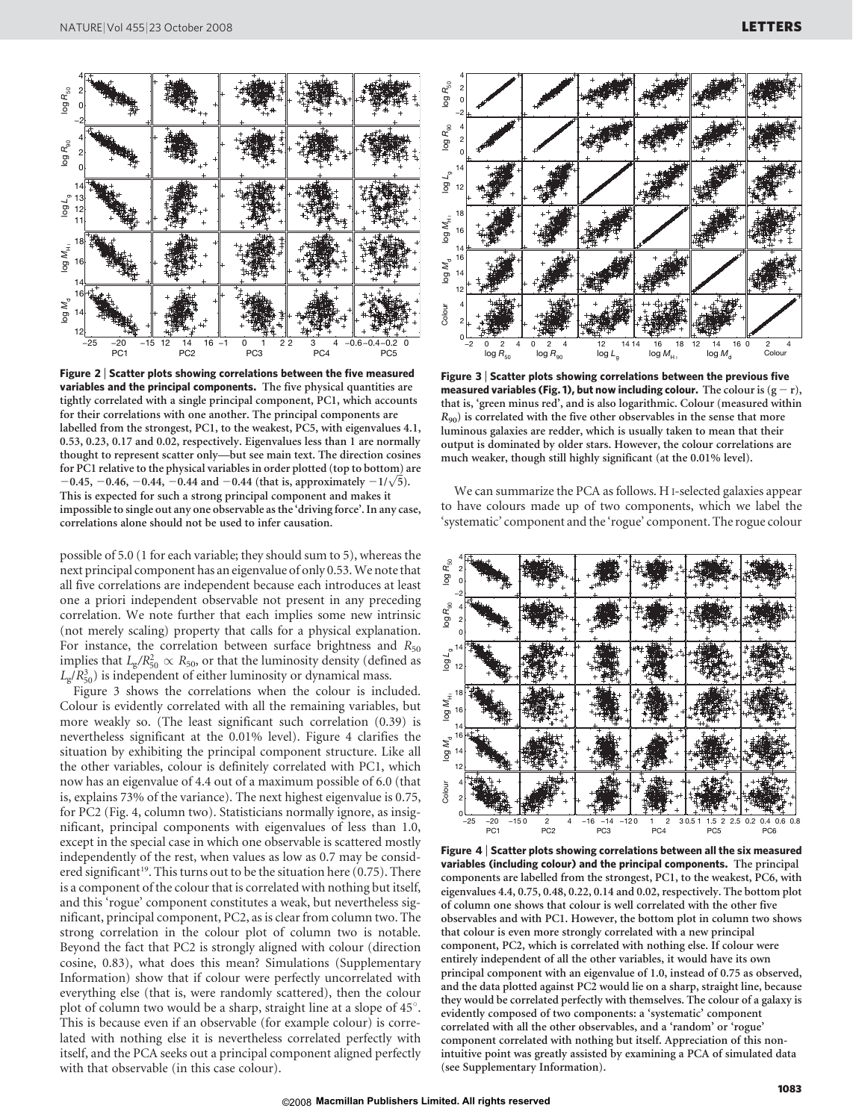

Figure 2 <sup>|</sup> Scatter plots showing correlations between the five measured variables and the principal components. The five physical quantities are tightly correlated with a single principal component, PC1, which accounts for their correlations with one another. The principal components are labelled from the strongest, PC1, to the weakest, PC5, with eigenvalues 4.1, 0.53, 0.23, 0.17 and 0.02, respectively. Eigenvalues less than 1 are normally thought to represent scatter only—but see main text. The direction cosines for PC1 relative to the physical variables in order plotted (top to bottom) are for PC1 relative to the physical variables in order plotted (top to bottom) a<br> $-0.45, -0.46, -0.44, -0.44$  and  $-0.44$  (that is, approximately  $-1/\sqrt{5}$ ). This is expected for such a strong principal component and makes it impossible to single out any one observable as the 'driving force'. In any case, correlations alone should not be used to infer causation.

possible of 5.0 (1 for each variable; they should sum to 5), whereas the next principal component has an eigenvalue of only 0.53.We note that all five correlations are independent because each introduces at least one a priori independent observable not present in any preceding correlation. We note further that each implies some new intrinsic (not merely scaling) property that calls for a physical explanation. For instance, the correlation between surface brightness and  $R_{50}$ implies that  $L_g/R_{50}^2 \propto R_{50}$ , or that the luminosity density (defined as  $L_g/R_{50}^3$ ) is independent of either luminosity or dynamical mass.

Figure 3 shows the correlations when the colour is included. Colour is evidently correlated with all the remaining variables, but more weakly so. (The least significant such correlation (0.39) is nevertheless significant at the 0.01% level). Figure 4 clarifies the situation by exhibiting the principal component structure. Like all the other variables, colour is definitely correlated with PC1, which now has an eigenvalue of 4.4 out of a maximum possible of 6.0 (that is, explains 73% of the variance). The next highest eigenvalue is 0.75, for PC2 (Fig. 4, column two). Statisticians normally ignore, as insignificant, principal components with eigenvalues of less than 1.0, except in the special case in which one observable is scattered mostly independently of the rest, when values as low as 0.7 may be considered significant<sup>19</sup>. This turns out to be the situation here (0.75). There is a component of the colour that is correlated with nothing but itself, and this 'rogue' component constitutes a weak, but nevertheless significant, principal component, PC2, as is clear from column two. The strong correlation in the colour plot of column two is notable. Beyond the fact that PC2 is strongly aligned with colour (direction cosine, 0.83), what does this mean? Simulations (Supplementary Information) show that if colour were perfectly uncorrelated with everything else (that is, were randomly scattered), then the colour plot of column two would be a sharp, straight line at a slope of 45°. This is because even if an observable (for example colour) is correlated with nothing else it is nevertheless correlated perfectly with itself, and the PCA seeks out a principal component aligned perfectly with that observable (in this case colour).



Figure 3 <sup>|</sup> Scatter plots showing correlations between the previous five measured variables (Fig. 1), but now including colour. The colour is  $(g - r)$ , that is, 'green minus red', and is also logarithmic. Colour (measured within  $R_{90}$ ) is correlated with the five other observables in the sense that more luminous galaxies are redder, which is usually taken to mean that their output is dominated by older stars. However, the colour correlations are much weaker, though still highly significant (at the 0.01% level).

We can summarize the PCA as follows. H I-selected galaxies appear to have colours made up of two components, which we label the 'systematic' component and the 'rogue' component. The rogue colour



Figure 4 <sup>|</sup> Scatter plots showing correlations between all the six measured variables (including colour) and the principal components. The principal components are labelled from the strongest, PC1, to the weakest, PC6, with eigenvalues 4.4, 0.75, 0.48, 0.22, 0.14 and 0.02, respectively. The bottom plot of column one shows that colour is well correlated with the other five observables and with PC1. However, the bottom plot in column two shows that colour is even more strongly correlated with a new principal component, PC2, which is correlated with nothing else. If colour were entirely independent of all the other variables, it would have its own principal component with an eigenvalue of 1.0, instead of 0.75 as observed, and the data plotted against PC2 would lie on a sharp, straight line, because they would be correlated perfectly with themselves. The colour of a galaxy is evidently composed of two components: a 'systematic' component correlated with all the other observables, and a 'random' or 'rogue' component correlated with nothing but itself. Appreciation of this nonintuitive point was greatly assisted by examining a PCA of simulated data (see Supplementary Information).